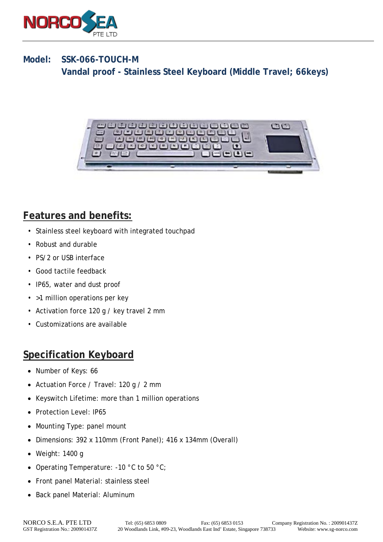

#### **Model: SSK-066-TOUCH-M Vandal proof - Stainless Steel Keyboard (Middle Travel; 66keys)**



# **Features and benefits:**

- Stainless steel keyboard with integrated touchpad
- Robust and durable
- PS/2 or USB interface
- Good tactile feedback
- IP65, water and dust proof
- >1 million operations per key
- Activation force 120 g / key travel 2 mm
- Customizations are available

### **Specification Keyboard**

- Number of Keys: 66
- Actuation Force / Travel: 120 g / 2 mm
- Keyswitch Lifetime: more than 1 million operations
- Protection Level: IP65
- Mounting Type: panel mount
- Dimensions: 392 x 110mm (Front Panel); 416 x 134mm (Overall)
- Weight: 1400 g
- Operating Temperature: -10 °C to 50 °C;
- Front panel Material: stainless steel
- Back panel Material: Aluminum